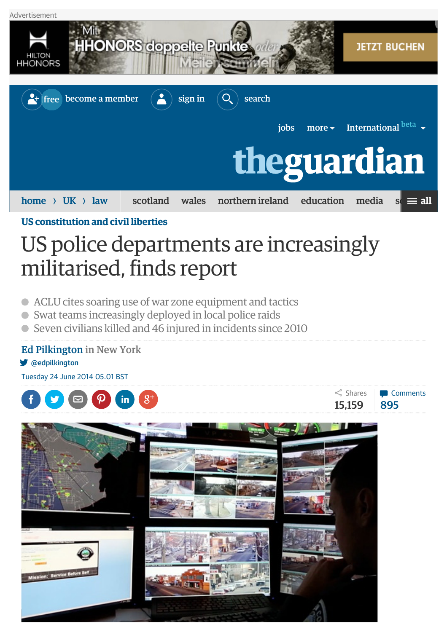

**[US constitution and civil liberties](http://www.theguardian.com/law/us-constitution-and-civil-liberties)**

## US police departments are increasingly militarised, finds report

- ACLU cites soaring use of war zone equipment and tactics
- Swat teams increasingly deployed in local police raids  $\bullet$
- Seven civilians killed and 46 injured in incidents since 2010

## [Ed Pilkington](http://www.theguardian.com/profile/edpilkington) in New York

y [@edpilkington](http://twitter.com/edpilkington)

Tuesday 24 June 2014 05.01 BST





15,159 895

 $\leq$  Shares **[Comments](http://www.theguardian.com/law/2014/jun/24/military-us-police-swat-teams-raids-aclu#comments)**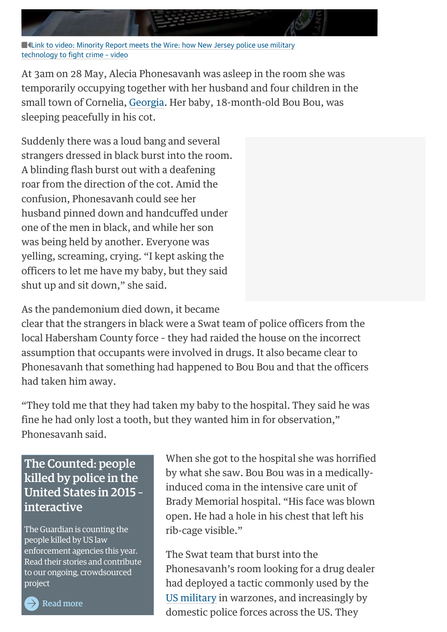**[Link to video: Minority Report meets the Wire: how New Jersey police use military](http://www.theguardian.com/world/video/2014/jun/13/new-jersey-police-crime-video)** technology to fight crime – video

At 3am on 28 May, Alecia Phonesavanh was asleep in the room she was temporarily occupying together with her husband and four children in the small town of Cornelia, [Georgia.](http://www.theguardian.com/us-news/state-of-georgia) Her baby, 18-month-old Bou Bou, was sleeping peacefully in his cot.

Suddenly there was a loud bang and several strangers dressed in black burst into the room. A blinding flash burst out with a deafening roar from the direction of the cot. Amid the confusion, Phonesavanh could see her husband pinned down and handcuffed under one of the men in black, and while her son was being held by another. Everyone was yelling, screaming, crying. "I kept asking the officers to let me have my baby, but they said shut up and sit down," she said.

As the pandemonium died down, it became

clear that the strangers in black were a Swat team of police officers from the local Habersham County force – they had raided the house on the incorrect assumption that occupants were involved in drugs. It also became clear to Phonesavanh that something had happened to Bou Bou and that the officers had taken him away.

"They told me that they had taken my baby to the hospital. They said he was fine he had only lost a tooth, but they wanted him in for observation," Phonesavanh said.

## The Counted: people killed by police in the United States in 2015 – interactive

The Guardian is counting the people killed by US law enforcement agencies this year. Read their stories and contribute to our ongoing, crowdsourced project

When she got to the hospital she was horrified by what she saw. Bou Bou was in a medicallyinduced coma in the intensive care unit of Brady Memorial hospital. "His face was blown open. He had a hole in his chest that left his rib-cage visible."

The Swat team that burst into the Phonesavanh's room looking for a drug dealer had deployed a tactic commonly used by the [US military](http://www.theguardian.com/us-news/us-military) in warzones, and increasingly by domestic police forces across the US. They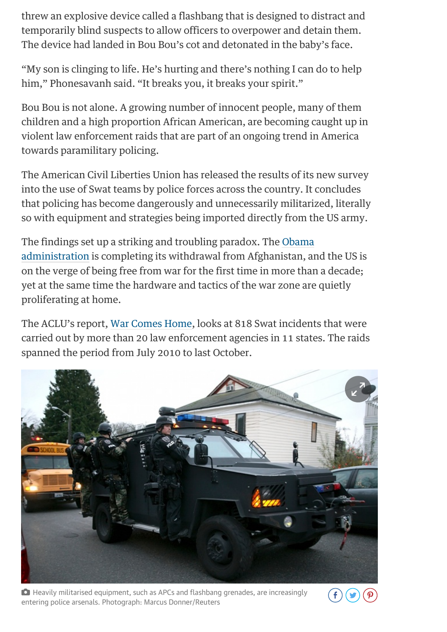threw an explosive device called a flashbang that is designed to distract and temporarily blind suspects to allow officers to overpower and detain them. The device had landed in Bou Bou's cot and detonated in the baby's face.

"My son is clinging to life. He's hurting and there's nothing I can do to help him," Phonesavanh said. "It breaks you, it breaks your spirit."

Bou Bou is not alone. A growing number of innocent people, many of them children and a high proportion African American, are becoming caught up in violent law enforcement raids that are part of an ongoing trend in America towards paramilitary policing.

The American Civil Liberties Union has released the results of its new survey into the use of Swat teams by police forces across the country. It concludes that policing has become dangerously and unnecessarily militarized, literally so with equipment and strategies being imported directly from the US army.

The findings set up a striking and troubling paradox. The Obama [administration is completing its withdrawal from Afghanistan, an](http://www.theguardian.com/us-news/obama-administration)d the US is on the verge of being free from war for the first time in more than a decade; yet at the same time the hardware and tactics of the war zone are quietly proliferating at home.

The ACLU's report, [War Comes Home,](http://www.aclu.org/militarization) looks at 818 Swat incidents that were carried out by more than 20 law enforcement agencies in 11 states. The raids spanned the period from July 2010 to last October.



 Heavily militarised equipment, such as APCs and flashbang grenades, are increasingly entering police arsenals. Photograph: Marcus Donner/Reuters

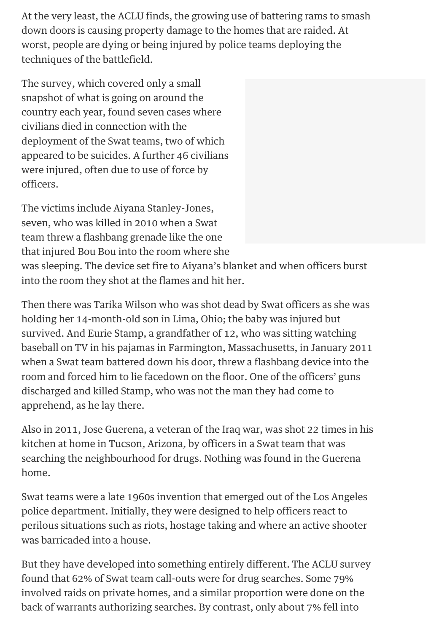At the very least, the ACLU finds, the growing use of battering rams to smash down doors is causing property damage to the homes that are raided. At worst, people are dying or being injured by police teams deploying the techniques of the battlefield.

The survey, which covered only a small snapshot of what is going on around the country each year, found seven cases where civilians died in connection with the deployment of the Swat teams, two of which appeared to be suicides. A further 46 civilians were injured, often due to use of force by officers.

The victims include Aiyana Stanley-Jones, seven, who was killed in 2010 when a Swat team threw a flashbang grenade like the one that injured Bou Bou into the room where she was sleeping. The device set fire to Aiyana's blanket and when officers burst into the room they shot at the flames and hit her.

Then there was Tarika Wilson who was shot dead by Swat officers as she was holding her 14-month-old son in Lima, Ohio; the baby was injured but survived. And Eurie Stamp, a grandfather of 12, who was sitting watching baseball on TV in his pajamas in Farmington, Massachusetts, in January 2011 when a Swat team battered down his door, threw a flashbang device into the room and forced him to lie facedown on the floor. One of the officers' guns discharged and killed Stamp, who was not the man they had come to apprehend, as he lay there.

Also in 2011, Jose Guerena, a veteran of the Iraq war, was shot 22 times in his kitchen at home in Tucson, Arizona, by officers in a Swat team that was searching the neighbourhood for drugs. Nothing was found in the Guerena home.

Swat teams were a late 1960s invention that emerged out of the Los Angeles police department. Initially, they were designed to help officers react to perilous situations such as riots, hostage taking and where an active shooter was barricaded into a house.

But they have developed into something entirely different. The ACLU survey found that 62% of Swat team call-outs were for drug searches. Some 79% involved raids on private homes, and a similar proportion were done on the back of warrants authorizing searches. By contrast, only about 7% fell into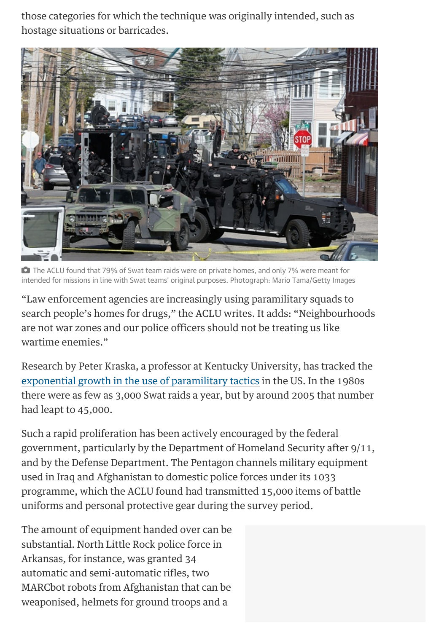those categories for which the technique was originally intended, such as hostage situations or barricades.



 The ACLU found that 79% of Swat team raids were on private homes, and only 7% were meant for intended for missions in line with Swat teams' original purposes. Photograph: Mario Tama/Getty Images

"Law enforcement agencies are increasingly using paramilitary squads to search people's homes for drugs," the ACLU writes. It adds: "Neighbourhoods are not war zones and our police officers should not be treating us like wartime enemies."

Research by Peter Kraska, a professor at Kentucky University, has tracked the [exponential growth in the use of paramilitary tactics](http://policing.oxfordjournals.org/content/1/4/501.short) in the US. In the 1980s there were as few as 3,000 Swat raids a year, but by around 2005 that number had leapt to 45,000.

Such a rapid proliferation has been actively encouraged by the federal government, particularly by the Department of Homeland Security after 9/11, and by the Defense Department. The Pentagon channels military equipment used in Iraq and Afghanistan to domestic police forces under its 1033 programme, which the ACLU found had transmitted 15,000 items of battle uniforms and personal protective gear during the survey period.

The amount of equipment handed over can be substantial. North Little Rock police force in Arkansas, for instance, was granted 34 automatic and semi-automatic rifles, two MARCbot robots from Afghanistan that can be weaponised, helmets for ground troops and a